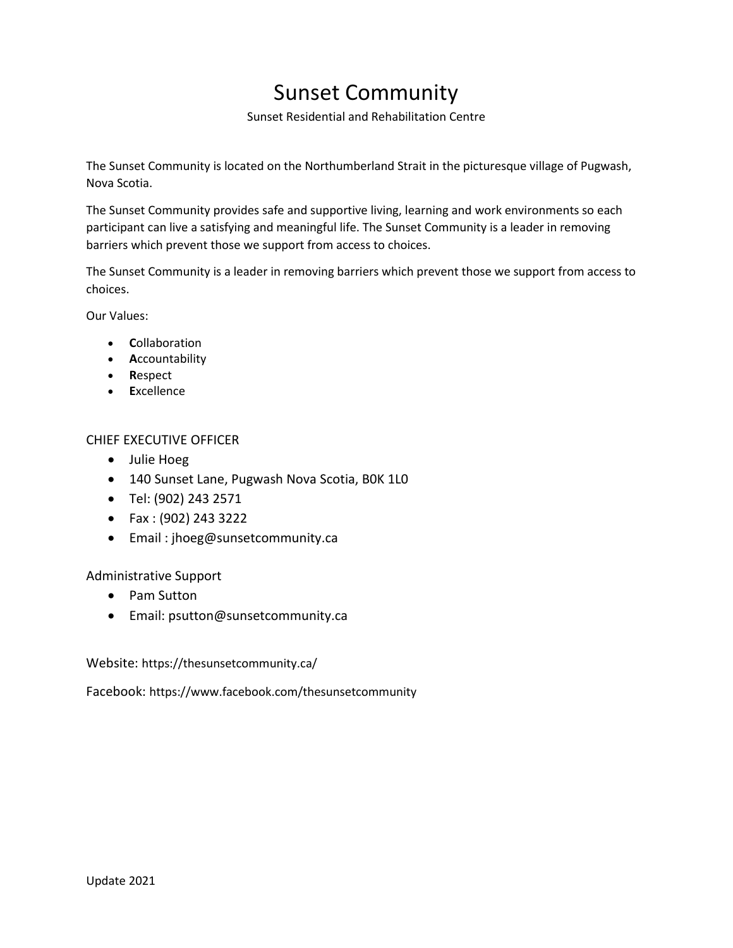## Sunset Community

Sunset Residential and Rehabilitation Centre

The Sunset Community is located on the Northumberland Strait in the picturesque village of Pugwash, Nova Scotia.

The Sunset Community provides safe and supportive living, learning and work environments so each participant can live a satisfying and meaningful life. The Sunset Community is a leader in removing barriers which prevent those we support from access to choices.

The Sunset Community is a leader in removing barriers which prevent those we support from access to choices.

Our Values:

- **C**ollaboration
- **A**ccountability
- **R**espect
- **E**xcellence

## CHIEF EXECUTIVE OFFICER

- Julie Hoeg
- 140 Sunset Lane, Pugwash Nova Scotia, B0K 1L0
- Tel: (902) 243 2571
- Fax : (902) 243 3222
- Email : jhoeg@sunsetcommunity.ca

## Administrative Support

- Pam Sutton
- Email: psutton@sunsetcommunity.ca

Website: https://thesunsetcommunity.ca/

Facebook: https://www.facebook.com/thesunsetcommunity